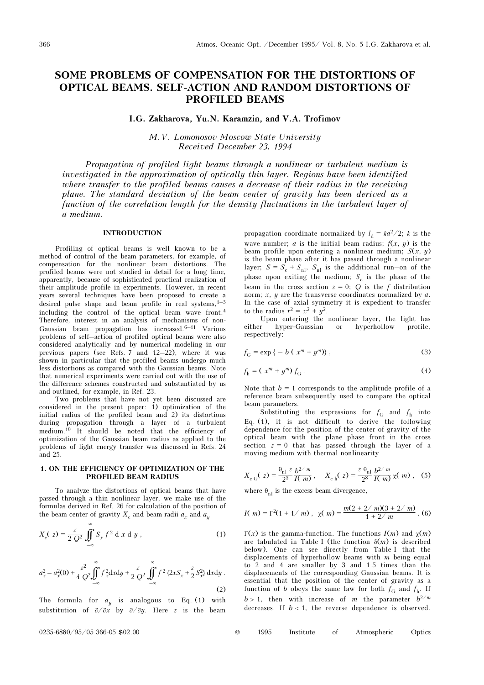# SOME PROBLEMS OF COMPENSATION FOR THE DISTORTIONS OF OPTICAL BEAMS. SELF-ACTION AND RANDOM DISTORTIONS OF PROFILED BEAMS

I.G. Zakharova, Yu.N. Karamzin, and V.A. Trofimov

M.V. Lomonosov Moscow State University Received December 23, 1994

Propagation of profiled light beams through a nonlinear or turbulent medium is investigated in the approximation of optically thin layer. Regions have been identified where transfer to the profiled beams causes a decrease of their radius in the receiving plane. The standard deviation of the beam center of gravity has been derived as a function of the correlation length for the density fluctuations in the turbulent layer of a medium.

## INTRODUCTION

Profiling of optical beams is well known to be a method of control of the beam parameters, for example, of compensation for the nonlinear beam distortions. The profiled beams were not studied in detail for a long time, apparently, because of sophisticated practical realization of their amplitude profile in experiments. However, in recent years several techniques have been proposed to create a desired pulse shape and beam profile in real systems,  $1-5$ including the control of the optical beam wave front.<sup>4</sup> Therefore, interest in an analysis of mechanisms of non-Gaussian beam propagation has increased. $6-11$  Various problems of self–action of profiled optical beams were also considered analytically and by numerical modeling in our previous papers (see Refs. 7 and 12–22), where it was shown in particular that the profiled beams undergo much less distortions as compared with the Gaussian beams. Note that numerical experiments were carried out with the use of the difference schemes constructed and substantiated by us and outlined, for example, in Ref. 23.

Two problems that have not yet been discussed are considered in the present paper:  $1)$  optimization of the initial radius of the profiled beam and 2) its distortions during propagation through a layer of a turbulent medium.19 It should be noted that the efficiency of optimization of the Gaussian beam radius as applied to the problems of light energy transfer was discussed in Refs. 24 and 25.

# 1. ON THE EFFICIENCY OF OPTIMIZATION OF THE PROFILED BEAM RADIUS

To analyze the distortions of optical beams that have passed through a thin nonlinear layer, we make use of the formulas derived in Ref. 26 for calculation of the position of the beam center of gravity  $X_c$  and beam radii  $a_x$  and  $a_y$ 

$$
X_c(z) = \frac{z}{2 Q^2} \int_{-\infty}^{\infty} S_x f^2 d x d y,
$$
 (1)

$$
a_x^2 = a_x^2(0) + \frac{z^2}{4 Q^2} \int_{-\infty}^{\infty} f_x^2 dx dy + \frac{z}{2 Q^2} \int_{-\infty}^{\infty} f^2 \left\{ 2x S_x + \frac{z}{2} S_x^2 \right\} dxdy
$$
 (2)

The formula for  $a_{\mu}$  is analogous to Eq. (1) with substitution of  $\partial/\partial x$  by  $\partial/\partial y$ . Here z is the beam

propagation coordinate normalized by  $l_d = ka^2/2$ ; k is the wave number; *a* is the initial beam radius;  $f(x, y)$  is the beam profile upon entering a nonlinear medium;  $S(x, y)$ is the beam phase after it has passed through a nonlinear layer;  $S = S_c + S_{nl}$ ,  $S_{nl}$  is the additional run–on of the phase upon exiting the medium;  $S_c$  is the phase of the beam in the cross section  $z = 0$ ; Q is the f distribution norm;  $x$ ,  $y$  are the transverse coordinates normalized by  $a$ . In the case of axial symmetry it is expedient to transfer to the radius  $r^2 = x^2 + y^2$ .

Upon entering the nonlinear layer, the light has either hyper-Gaussian or hyperhollow profile, respectively:

$$
f_{G} = \exp\{-b(x^m + y^m)\},\tag{3}
$$

$$
f_{\mathbf{h}} = (x^m + y^m) f_{\mathbf{G}}.
$$
 (4)

Note that  $b = 1$  corresponds to the amplitude profile of a reference beam subsequently used to compare the optical beam parameters.

Substituting the expressions for  $f_G$  and  $f_h$  into Eq. (1), it is not difficult to derive the following dependence for the position of the center of gravity of the optical beam with the plane phase front in the cross section  $z = 0$  that has passed through the layer of a moving medium with thermal nonlinearity

$$
X_{\rm c G}(z) = \frac{\theta_{\rm nl} z}{2^3} \frac{b^{2/m}}{I(m)}, \quad X_{\rm c h}(z) = \frac{z \theta_{\rm nl}}{2^8} \frac{b^{2/m}}{I(m)} \chi(m), \quad (5)
$$

where  $\theta_{nl}$  is the excess beam divergence,

$$
I(m) = \Gamma^2(1 + 1/m), \ \ \chi(m) = \frac{m(2 + 2/m)(3 + 2/m)}{1 + 2/m}, \ (6)
$$

Γ(x) is the gamma-function. The functions  $I(m)$  and  $χ(m)$ are tabulated in Table I (the function  $\delta(m)$  is described below). One can see directly from Table I that the displacements of hyperhollow beams with m being equal to 2 and 4 are smaller by 3 and 1.5 times than the displacements of the corresponding Gaussian beams. It is essential that the position of the center of gravity as a function of b obeys the same law for both  $f_G$  and  $f_h$ . If  $b>1, \;$  then with increase of  $m$  the parameter  $\;b^{2/m}\;$ decreases. If  $b < 1$ , the reverse dependence is observed.

0235-6880/95/05 366-05 \$02.00 © 1995 Institute of Atmospheric Optics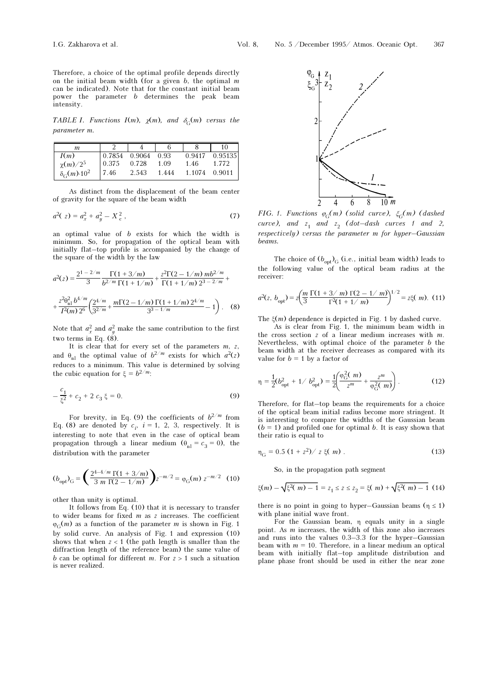Therefore, a choice of the optimal profile depends directly on the initial beam width (for a given  $b$ , the optimal  $m$ can be indicated). Note that for the constant initial beam power the parameter b determines the peak beam intensity.

TABLE I. Functions I(m),  $\chi$ (m), and  $\delta_G(m)$  versus the parameter m.

| m                        |        |        |       |        | 10      |
|--------------------------|--------|--------|-------|--------|---------|
| I(m)                     | 0.7854 | 0.9064 | 0.93  | 0.9417 | 0.95135 |
| $\chi(m)/2^5$            | 0.375  | 0.728  | 1.09  | 1.46   | 1.772   |
| $\delta_C(m) \cdot 10^2$ | 7.46   | 2.543  | 1.444 | 1.1074 | 0.9011  |

As distinct from the displacement of the beam center of gravity for the square of the beam width

$$
a^2(z) = a_x^2 + a_y^2 - X_c^2,
$$
 (7)

an optimal value of b exists for which the width is minimum. So, for propagation of the optical beam with initially flat–top profile is accompanied by the change of the square of the width by the law

$$
a^{2}(z) = \frac{2^{1-2/m}}{3} \frac{\Gamma(1+3/m)}{b^{2/m} \Gamma(1+1/m)} + \frac{z^{2} \Gamma(2-1/m) m b^{2/m}}{\Gamma(1+1/m) 2^{3-2/m}} +
$$
  
+ 
$$
\frac{z^{2} \theta_{\text{nl}}^{2} b^{4/m}}{I^{2}(m) 2^{6}} \left( \frac{2^{4/m}}{3^{2/m}} + \frac{m \Gamma(2-1/m) \Gamma(1+1/m) 2^{4/m}}{3^{3-1/m}} - 1 \right). \quad (8)
$$

Note that  $a_x^2$  and  $a_y^2$  make the same contribution to the first two terms in Eq.  $(\check{8})$ .

It is clear that for every set of the parameters  $m$ ,  $z$ , and  $\theta_{nl}$  the optimal value of  $b^{2/m}$  exists for which  $a^2(z)$ reduces to a minimum. This value is determined by solving the cubic equation for  $\xi = b^{2/m}$ :

$$
-\frac{c_1}{\xi^2} + c_2 + 2 c_3 \xi = 0.
$$
 (9)

For brevity, in Eq. (9) the coefficients of  $b^{2/m}$  from Eq. (8) are denoted by  $c_i$ ,  $i = 1, 2, 3$ , respectively. It is interesting to note that even in the case of optical beam propagation through a linear medium  $(\theta_{nl} = c_3 = 0)$ , the distribution with the parameter

$$
(b_{\text{opt}})_{\text{G}} = \left(\frac{2^{4-4/m} \Gamma(1+3/m)}{3 m \Gamma(2-1/m)}\right) z^{-m/2} = \varphi_{\text{G}}(m) z^{-m/2} \quad (10)
$$

other than unity is optimal.

It follows from Eq. (10) that it is necessary to transfer to wider beams for fixed  $m$  as  $z$  increases. The coefficient  $\varphi_{\rm G}(m)$  as a function of the parameter m is shown in Fig. 1 by solid curve. An analysis of Fig. 1 and expression (10) shows that when  $z < 1$  (the path length is smaller than the diffraction length of the reference beam) the same value of b can be optimal for different m. For  $z > 1$  such a situation is never realized.



FIG. 1. Functions  $\varphi_G(m)$  (solid curve),  $\xi_G(m)$  (dashed curve), and  $z_1$  and  $z_2$  (dot-dash curves 1 and 2, respectively) versus the parameter m for hyper–Gaussian beams.

The choice of  $(b_{\text{opt}})_{\text{G}}$  (i.e., initial beam width) leads to the following value of the optical beam radius at the receiver:

$$
a^{2}(z, b_{\text{opt}}) = z \left( \frac{m}{3} \frac{\Gamma(1 + 3/m) \Gamma(2 - 1/m)}{\Gamma^{2}(1 + 1/m)} \right)^{1/2} = z \xi(m). \tag{11}
$$

The  $\xi(m)$  dependence is depicted in Fig. 1 by dashed curve.

As is clear from Fig. 1, the minimum beam width in the cross section  $z$  of a linear medium increases with  $m$ . Nevertheless, with optimal choice of the parameter  $b$  the beam width at the receiver decreases as compared with its value for  $b = 1$  by a factor of

$$
\eta = \frac{1}{2} (b_{\text{opt}}^2 + 1 / b_{\text{opt}}^2) = \frac{1}{2} \left( \frac{\varphi_{\text{G}}^2(m)}{z^m} + \frac{z^m}{\varphi_{\text{G}}^2(m)} \right). \tag{12}
$$

Therefore, for flat–top beams the requirements for a choice of the optical beam initial radius become more stringent. It is interesting to compare the widths of the Gaussian beam  $(b = 1)$  and profiled one for optimal b. It is easy shown that their ratio is equal to

$$
\eta_{\rm G} = 0.5 \left( 1 + z^2 \right) / \ z \xi(m) \ . \tag{13}
$$

So, in the propagation path segment

$$
\xi(m) - \sqrt{\xi^2(m) - 1} = z_1 \le z \le z_2 = \xi(m) + \sqrt{\xi^2(m) - 1} \tag{14}
$$

there is no point in going to hyper–Gaussian beams ( $\eta \leq 1$ ) with plane initial wave front.

For the Gaussian beam, η equals unity in a single point. As m increases, the width of this zone also increases and runs into the values 0.3–3.3 for the hyper–Gaussian beam with  $m = 10$ . Therefore, in a linear medium an optical beam with initially flat–top amplitude distribution and plane phase front should be used in either the near zone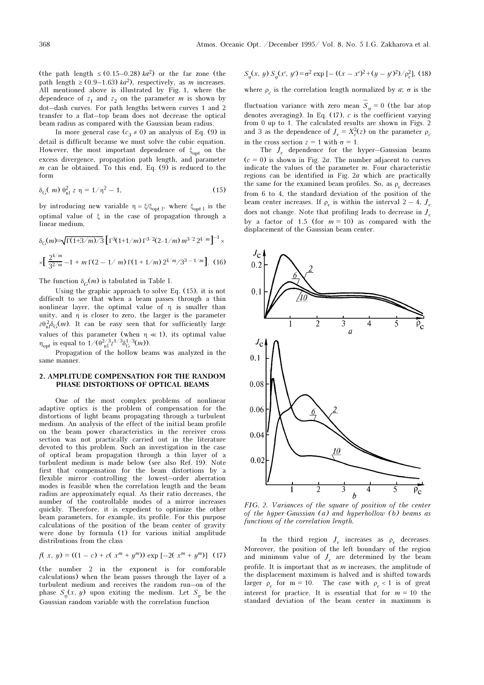(the path length  $\leq$  (0.15–0.28)  $ka^2$ ) or the far zone (the path length  $\geq$  (0.9–1.63)  $ka^2$ ), respectively, as m increases. All mentioned above is illustrated by Fig. 1, where the dependence of  $z_1$  and  $z_2$  on the parameter m is shown by dot–dash curves. For path lengths between curves 1 and 2 transfer to a flat–top beam does not decrease the optical beam radius as compared with the Gaussian beam radius.

In more general case ( $c_3 \neq 0$ ) an analysis of Eq. (9) in detail is difficult because we must solve the cubic equation. However, the most important dependence of  $\boldsymbol{\xi}_{\mathrm{opt}}$  on the excess divergence, propagation path length, and parameter m can be obtained. To this end, Eq.  $(9)$  is reduced to the form

$$
\delta_{\mathcal{G}}(m) \theta_{\mathbf{n}}^2 \, z \, \mathbf{n} = 1/\mathbf{n}^2 - 1,\tag{15}
$$

by introducing new variable  $\eta = \xi/\xi_{optl}$ , where  $\xi_{optl}$  is the optimal value of ξ in the case of propagation through a linear medium,

$$
\delta_{\rm G}(m) = \sqrt{\Gamma(1+3/m)/3} \left[ \Gamma^3(1+1/m) \Gamma^{3/2}(2-1/m) m^{3/2} 2^{4/m} \right]^{-1} \times
$$
  
 
$$
\times \left[ \frac{2^{4/m}}{3^{2/m}} - 1 + m \Gamma(2 - 1/m) \Gamma(1 + 1/m) 2^{4/m} / 3^{3 - 1/m} \right]. (16)
$$

The function  $\delta_G(m)$  is tabulated in Table I.

Using the graphic approach to solve Eq. (15), it is not difficult to see that when a beam passes through a thin nonlinear layer, the optimal value of η is smaller than unity, and η is closer to zero, the larger is the parameter  $z\theta_{\rm nl}^2\delta_{\rm G}(m)$ . It can be easy seen that for sufficiently large values of this parameter (when  $\eta \ll 1$ ), its optimal value  $η<sub>opt</sub>$  is equal to  $1/(\theta_{\text{nl}}^2 z^{1/3} \delta_G^{1/3}(m))$ .

Propagation of the hollow beams was analyzed in the same manner.

#### 2. AMPLITUDE COMPENSATION FOR THE RANDOM PHASE DISTORTIONS OF OPTICAL BEAMS

One of the most complex problems of nonlinear adaptive optics is the problem of compensation for the distortions of light beams propagating through a turbulent medium. An analysis of the effect of the initial beam profile on the beam power characteristics in the receiver cross section was not practically carried out in the literature devoted to this problem. Such an investigation in the case of optical beam propagation through a thin layer of a turbulent medium is made below (see also Ref. 19). Note first that compensation for the beam distortions by a flexible mirror controlling the lowest–order aberration modes is feasible when the correlation length and the beam radius are approximately equal. As their ratio decreases, the number of the controllable modes of a mirror increases quickly. Therefore, it is expedient to optimize the other beam parameters, for example, its profile. For this purpose calculations of the position of the beam center of gravity were done by formula (1) for various initial amplitude distributions from the class

$$
f(x, y) = ((1 - c) + c(xm + ym)) \exp[-2(xm + ym)] (17)
$$

(the number 2 in the exponent is for comforable calculations) when the beam passes through the layer of a turbulent medium and receives the random run–on of the phase  $S_{\varphi}(x, y)$  upon exiting the medium. Let  $S_{\varphi}$  be the Gaussian random variable with the correlation function

$$
S_{\varphi}(x, y) S_{\varphi}(x', y') = \sigma^2 \exp\left[ -\left( (x - x')^2 + (y - y')^2 \right) / \rho_c^2 \right], (18)
$$

where  $\rho_c$  is the correlation length normalized by  $a$ ;  $\sigma$  is the

fluctuation variance with zero mean  $\overline{S}_{\varphi} = 0$  (the bar atop denotes averaging). In Eq.  $(17)$ , c is the coefficient varying from 0 up to 1. The calculated results are shown in Figs. 2 and 3 as the dependence of  $J_c = X_c^2(z)$  on the parameter  $\rho_c$ in the cross section  $z = 1$  with  $\sigma = 1$ .

The  $J_c$  dependence for the hyper-Gaussian beams  $(c = 0)$  is shown in Fig. 2*a*. The number adjacent to curves indicate the values of the parameter m. Four characteristic regions can be identified in Fig. 2a which are practically the same for the examined beam profiles. So, as  $\rho_c$  decreases from 6 to 4, the standard deviation of the position of the beam center increases. If  $\rho_c$  is within the interval 2 – 4,  $J_c$ does not change. Note that profiling leads to decrease in  $J_c$ by a factor of 1.5 (for  $m = 10$ ) as compared with the displacement of the Gaussian beam center.



FIG. 2. Variances of the square of position of the center of the hyper-Gaussian  $(a)$  and hyperhollow  $(b)$  beams as functions of the correlation length.

In the third region  $J_c$  increases as  $\rho_c$  decreases. Moreover, the position of the left boundary of the region and minimum value of  $J_c$  are determined by the beam profile. It is important that as m increases, the amplitude of the displacement maximum is halved and is shifted towards larger  $\rho_c$  for m = 10. The case with  $\rho_c < 1$  is of great interest for practice. It is essential that for  $m = 10$  the standard deviation of the beam center in maximum is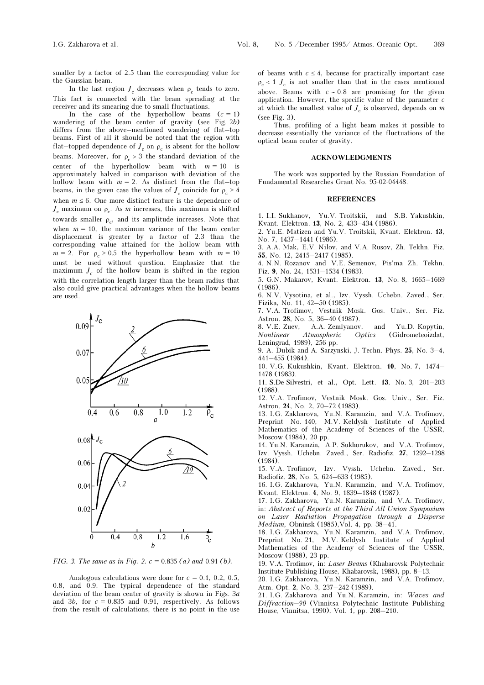smaller by a factor of 2.5 than the corresponding value for the Gaussian beam.

In the last region  $J_c$  decreases when  $\rho_c$  tends to zero. This fact is connected with the beam spreading at the receiver and its smearing due to small fluctuations.

In the case of the hyperhollow beams  $(c = 1)$ wandering of the beam center of gravity (see Fig. 2b) differs from the above–mentioned wandering of flat–top beams. First of all it should be noted that the region with flat–topped dependence of  $J_c$  on  $\rho_c$  is absent for the hollow beams. Moreover, for  $\rho_c > 3$  the standard deviation of the center of the hyperhollow beam with  $m = 10$  is approximately halved in comparison with deviation of the hollow beam with  $m = 2$ . As distinct from the flat–top beams, in the given case the values of  $J_c$  coincide for  $\rho_c \geq 4$ when  $m \leq 6$ . One more distinct feature is the dependence of  $J_c$  maximum on  $\rho_c$ . As m increases, this maximum is shifted towards smaller  $\rho_c$ , and its amplitude increases. Note that when  $m = 10$ , the maximum variance of the beam center displacement is greater by a factor of 2.3 than the corresponding value attained for the hollow beam with  $m = 2$ . For  $\rho_c \geq 0.5$  the hyperhollow beam with  $m = 10$ must be used without question. Emphasize that the maximum  $J_c$  of the hollow beam is shifted in the region with the correlation length larger than the beam radius that also could give practical advantages when the hollow beams are used.



FIG. 3. The same as in Fig. 2.  $c = 0.835$  (a) and 0.91 (b).

Analogous calculations were done for  $c = 0.1, 0.2, 0.5$ , 0.8, and 0.9. The typical dependence of the standard deviation of the beam center of gravity is shown in Figs.  $3a$ and 3b, for  $c = 0.835$  and 0.91, respectively. As follows from the result of calculations, there is no point in the use of beams with  $c \leq 4$ , because for practically important case  $\rho_c < 1$  J<sub>c</sub> is not smaller than that in the cases mentioned above. Beams with  $c \sim 0.8$  are promising for the given application. However, the specific value of the parameter  $c$ at which the smallest value of  $J_c$  is observed, depends on m (see Fig. 3).

Thus, profiling of a light beam makes it possible to decrease essentially the variance of the fluctuations of the optical beam center of gravity.

# ACKNOWLEDGMENTS

The work was supported by the Russian Foundation of Fundamental Researches Grant No. 95-02-04448.

## **REFERENCES**

1. I.I. Sukhanov, Yu.V. Troitskii, and S.B. Yakushkin, Kvant. Elektron. 13, No. 2, 433–434 (1986).

2. Yu.E. Matizen and Yu.V. Troitskii, Kvant. Elektron. 13, No. 7, 1437–1441 (1986).

3. A.A. Mak, E.V. Nilov, and V.A. Rusov, Zh. Tekhn. Fiz. 55, No. 12, 2415–2417 (1985).

4. N.N. Rozanov and V.E. Semenov, Pis'ma Zh. Tekhn. Fiz. 9, No. 24, 1531–1534 (1983).

5. G.N. Makarov, Kvant. Elektron. 13, No. 8, 1665–1669 (1986).

6. N.V. Vysotina, et al., Izv. Vyssh. Uchebn. Zaved., Ser. Fizika, No. 11, 42–50 (1985).

7. V.A. Trofimov, Vestnik Mosk. Gos. Univ., Ser. Fiz. Astron. 28, No. 5, 36–40 (1987).

8. V.E. Zuev, A.A. Zemlyanov, and Yu.D. Kopytin, Nonlinear Atmospheric Optics (Gidrometeoizdat, Leningrad, 1989), 256 pp.

9. A. Dubik and A. Sarzynski, J. Techn. Phys. 25, No. 3–4, 441–455 (1984).

10. V.G. Kukushkin, Kvant. Elektron. 10, No. 7, 1474– 1478 (1983).

11. S.De Silvestri, et al., Opt. Lett. 13, No. 3, 201–203 (1988).

12. V.A. Trofimov, Vestnik Mosk. Gos. Univ., Ser. Fiz. Astron. 24, No. 2, 70–72 (1983).

13. I.G. Zakharova, Yu.N. Karamzin, and V.A. Trofimov, Preprint No. 140, M.V. Keldysh Institute of Applied Mathematics of the Academy of Sciences of the USSR, Moscow (1984), 20 pp.

14. Yu.N. Karamzin, A.P. Sukhorukov, and V.A. Trofimov, Izv. Vyssh. Uchebn. Zaved., Ser. Radiofiz. 27, 1292–1298 (1984).

15. V.A. Trofimov, Izv. Vyssh. Uchebn. Zaved., Ser. Radiofiz. 28, No. 5, 624–633 (1985).

16. I.G. Zakharova, Yu.N. Karamzin, and V.A. Trofimov, Kvant. Elektron. 4, No. 9, 1839–1848 (1987).

17. I.G. Zakharova, Yu.N. Karamzin, and V.A. Trofimov, in: Abstract of Reports at the Third All-Union Symposium on Laser Radiation Propagation through a Disperse Medium, Obninsk (1985),Vol. 4, pp. 38–41.

18. I.G. Zakharova, Yu.N. Karamzin, and V.A. Trofimov, Preprint No. 21, M.V. Keldysh Institute of Applied Mathematics of the Academy of Sciences of the USSR, Moscow (1988), 23 pp.

19. V.A. Trofimov, in: Laser Beams (Khabarovsk Polytechnic Institute Publishing House, Khabarovsk, 1988), pp. 8–13.

20. I.G. Zakharova, Yu.N. Karamzin, and V.A. Trofimov, Atm. Opt. 2, No. 3, 237–242 (1989).

21. I.G. Zakharova and Yu.N. Karamzin, in: Waves and Diffraction–90 (Vinnitsa Polytechnic Institute Publishing House, Vinnitsa, 1990), Vol. 1, pp. 208–210.